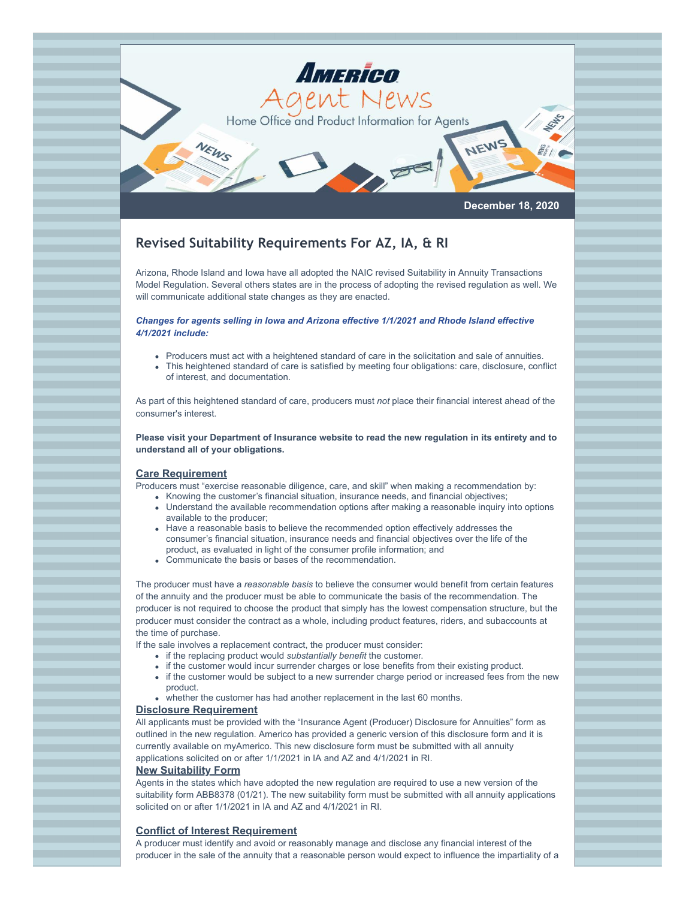

# **Revised Suitability Requirements For AZ, IA, & RI**

Arizona, Rhode Island and Iowa have all adopted the NAIC revised Suitability in Annuity Transactions Model Regulation. Several others states are in the process of adopting the revised regulation as well. We will communicate additional state changes as they are enacted.

#### *Changes for agents selling in Iowa and Arizona effective 1/1/2021 and Rhode Island effective 4/1/2021 include:*

- Producers must act with a heightened standard of care in the solicitation and sale of annuities.
- This heightened standard of care is satisfied by meeting four obligations: care, disclosure, conflict of interest, and documentation.

As part of this heightened standard of care, producers must *not* place their financial interest ahead of the consumer's interest.

**Please visit your Department of Insurance website to read the new regulation in its entirety and to understand all of your obligations.**

## **Care Requirement**

Producers must "exercise reasonable diligence, care, and skill" when making a recommendation by:

- Knowing the customer's financial situation, insurance needs, and financial objectives;
	- Understand the available recommendation options after making a reasonable inquiry into options available to the producer;
- Have a reasonable basis to believe the recommended option effectively addresses the consumer's financial situation, insurance needs and financial objectives over the life of the product, as evaluated in light of the consumer profile information; and
- Communicate the basis or bases of the recommendation.

The producer must have a *reasonable basis* to believe the consumer would benefit from certain features of the annuity and the producer must be able to communicate the basis of the recommendation. The producer is not required to choose the product that simply has the lowest compensation structure, but the producer must consider the contract as a whole, including product features, riders, and subaccounts at the time of purchase.

If the sale involves a replacement contract, the producer must consider:

- if the replacing product would *substantially benefit* the customer.
- if the customer would incur surrender charges or lose benefits from their existing product.
- if the customer would be subject to a new surrender charge period or increased fees from the new product.
- whether the customer has had another replacement in the last 60 months.

#### **Disclosure Requirement**

All applicants must be provided with the "Insurance Agent (Producer) Disclosure for Annuities" form as outlined in the new regulation. Americo has provided a generic version of this disclosure form and it is currently available on myAmerico. This new disclosure form must be submitted with all annuity applications solicited on or after 1/1/2021 in IA and AZ and 4/1/2021 in RI.

## **New Suitability Form**

Agents in the states which have adopted the new regulation are required to use a new version of the suitability form ABB8378 (01/21). The new suitability form must be submitted with all annuity applications solicited on or after 1/1/2021 in IA and AZ and 4/1/2021 in RI.

## **Conflict of Interest Requirement**

A producer must identify and avoid or reasonably manage and disclose any financial interest of the producer in the sale of the annuity that a reasonable person would expect to influence the impartiality of a